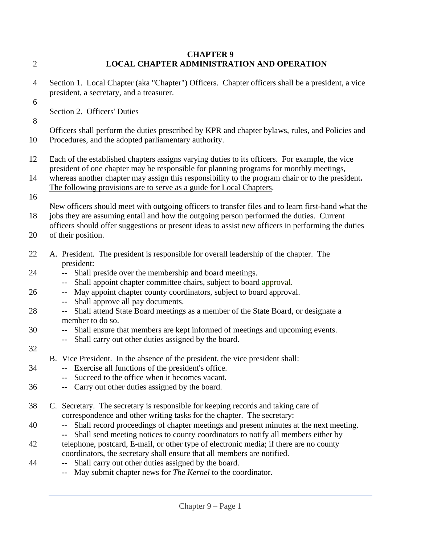## **CHAPTER 9** 2 **LOCAL CHAPTER ADMINISTRATION AND OPERATION**

- 4 Section 1.Local Chapter (aka "Chapter") Officers. Chapter officers shall be a president, a vice president, a secretary, and a treasurer.
- 6

Section 2. Officers' Duties

8

Officers shall perform the duties prescribed by KPR and chapter bylaws, rules, and Policies and

- 10 Procedures, and the adopted parliamentary authority.
- 12 Each of the established chapters assigns varying duties to its officers. For example, the vice president of one chapter may be responsible for planning programs for monthly meetings,
- 14 whereas another chapter may assign this responsibility to the program chair or to the president**.**  The following provisions are to serve as a guide for Local Chapters.
- 16

New officers should meet with outgoing officers to transfer files and to learn first-hand what the 18 jobs they are assuming entail and how the outgoing person performed the duties. Current

- officers should offer suggestions or present ideas to assist new officers in performing the duties
- 20 of their position.
- 22 A. President. The president is responsible for overall leadership of the chapter. The president:
- 24 **--** Shall preside over the membership and board meetings.
	- -- Shall appoint chapter committee chairs, subject to board approval.
- 26 **--** May appoint chapter county coordinators, subject to board approval.
	- -- Shall approve all pay documents.
- 28 **--** Shall attend State Board meetings as a member of the State Board, or designate a member to do so.
- 30 -- Shall ensure that members are kept informed of meetings and upcoming events.
	- -- Shall carry out other duties assigned by the board.
- 32
- B. Vice President. In the absence of the president, the vice president shall:
- 34 **--** Exercise all functions of the president's office.
	- -- Succeed to the office when it becomes vacant.
- 36 -- Carry out other duties assigned by the board.
- 38 C. Secretary. The secretary is responsible for keeping records and taking care of correspondence and other writing tasks for the chapter. The secretary:
- 40 -- Shall record proceedings of chapter meetings and present minutes at the next meeting.
- **--** Shall send meeting notices to county coordinators to notify all members either by 42 telephone, postcard, E-mail, or other type of electronic media; if there are no county coordinators, the secretary shall ensure that all members are notified.
- 44 **--** Shall carry out other duties assigned by the board.
	- -- May submit chapter news for *The Kernel* to the coordinator.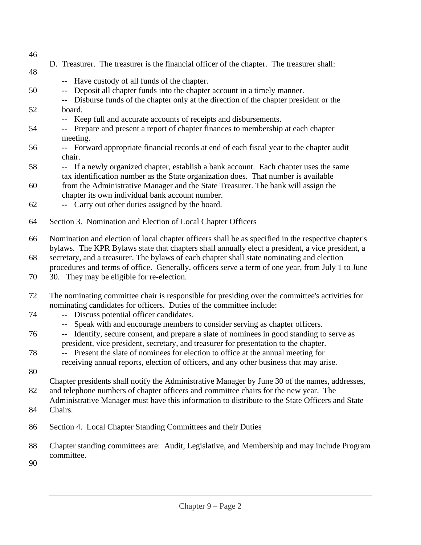- 46
- D. Treasurer. The treasurer is the financial officer of the chapter. The treasurer shall: 48
	- -- Have custody of all funds of the chapter.
- 50 -- Deposit all chapter funds into the chapter account in a timely manner.
- -- Disburse funds of the chapter only at the direction of the chapter president or the 52 board.
	- -- Keep full and accurate accounts of receipts and disbursements.
- 54 -- Prepare and present a report of chapter finances to membership at each chapter meeting.
- 56 -- Forward appropriate financial records at end of each fiscal year to the chapter audit chair.
- 58 **--** If a newly organized chapter, establish a bank account. Each chapter uses the same tax identification number as the State organization does. That number is available
- 60 from the Administrative Manager and the State Treasurer. The bank will assign the chapter its own individual bank account number.
- 62 **--** Carry out other duties assigned by the board.
- 64 Section 3. Nomination and Election of Local Chapter Officers
- 66 Nomination and election of local chapter officers shall be as specified in the respective chapter's bylaws. The KPR Bylaws state that chapters shall annually elect a president, a vice president, a
- 68 secretary, and a treasurer. The bylaws of each chapter shall state nominating and election procedures and terms of office. Generally, officers serve a term of one year, from July 1 to June
- 70 30. They may be eligible for re-election.
- 72 The nominating committee chair is responsible for presiding over the committee's activities for nominating candidates for officers. Duties of the committee include:
- 74 **--** Discuss potential officer candidates.
	- **--** Speak with and encourage members to consider serving as chapter officers.
- 76 -- Identify, secure consent, and prepare a slate of nominees in good standing to serve as president, vice president, secretary, and treasurer for presentation to the chapter.
- 78 -- Present the slate of nominees for election to office at the annual meeting for receiving annual reports, election of officers, and any other business that may arise.
- 80

Chapter presidents shall notify the Administrative Manager by June 30 of the names, addresses,

82 and telephone numbers of chapter officers and committee chairs for the new year. The

- Administrative Manager must have this information to distribute to the State Officers and State 84 Chairs.
- 86 Section 4. Local Chapter Standing Committees and their Duties
- 88 Chapter standing committees are: Audit, Legislative, and Membership and may include Program committee.
- 90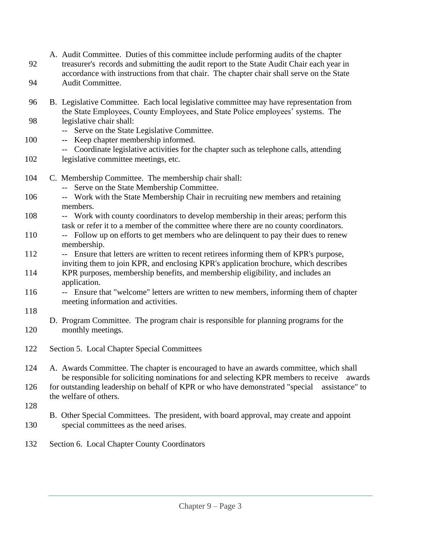- A. Audit Committee. Duties of this committee include performing audits of the chapter 92 treasurer's records and submitting the audit report to the State Audit Chair each year in accordance with instructions from that chair. The chapter chair shall serve on the State 94 Audit Committee. 96 B. Legislative Committee. Each local legislative committee may have representation from the State Employees, County Employees, and State Police employees' systems. The 98 legislative chair shall: -- Serve on the State Legislative Committee. 100 **--** Keep chapter membership informed. -- Coordinate legislative activities for the chapter such as telephone calls, attending 102 legislative committee meetings, etc. 104 C. Membership Committee. The membership chair shall: -- Serve on the State Membership Committee. 106 -- Work with the State Membership Chair in recruiting new members and retaining members. 108 -- Work with county coordinators to develop membership in their areas; perform this task or refer it to a member of the committee where there are no county coordinators. 110 -- Follow up on efforts to get members who are delinquent to pay their dues to renew membership. 112 -- Ensure that letters are written to recent retirees informing them of KPR's purpose, inviting them to join KPR, and enclosing KPR's application brochure, which describes 114 KPR purposes, membership benefits, and membership eligibility, and includes an application. 116 -- Ensure that "welcome" letters are written to new members, informing them of chapter meeting information and activities. 118 D. Program Committee. The program chair is responsible for planning programs for the 120 monthly meetings. 122 Section 5. Local Chapter Special Committees 124 A. Awards Committee. The chapter is encouraged to have an awards committee, which shall be responsible for soliciting nominations for and selecting KPR members to receive awards 126 for outstanding leadership on behalf of KPR or who have demonstrated "special assistance" to the welfare of others. 128 B. Other Special Committees. The president, with board approval, may create and appoint 130 special committees as the need arises.
- 132 Section 6. Local Chapter County Coordinators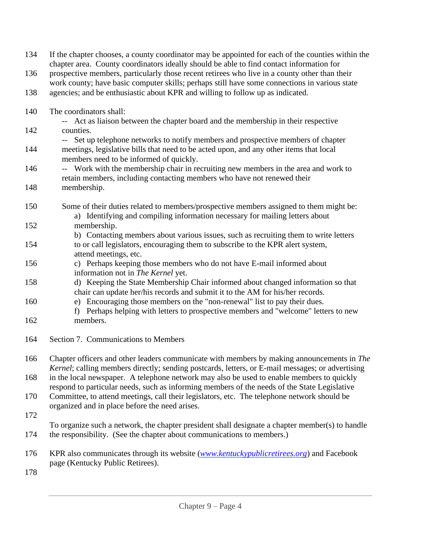| 134 | If the chapter chooses, a county coordinator may be appointed for each of the counties within the<br>chapter area. County coordinators ideally should be able to find contact information for  |
|-----|------------------------------------------------------------------------------------------------------------------------------------------------------------------------------------------------|
| 136 | prospective members, particularly those recent retirees who live in a county other than their<br>work county; have basic computer skills; perhaps still have some connections in various state |
| 138 | agencies; and be enthusiastic about KPR and willing to follow up as indicated.                                                                                                                 |
| 140 | The coordinators shall:<br>-- Act as liaison between the chapter board and the membership in their respective                                                                                  |
| 142 | counties.<br>-- Set up telephone networks to notify members and prospective members of chapter                                                                                                 |
| 144 | meetings, legislative bills that need to be acted upon, and any other items that local<br>members need to be informed of quickly.                                                              |
| 146 | -- Work with the membership chair in recruiting new members in the area and work to<br>retain members, including contacting members who have not renewed their                                 |
| 148 | membership.                                                                                                                                                                                    |
| 150 | Some of their duties related to members/prospective members assigned to them might be:<br>a) Identifying and compiling information necessary for mailing letters about                         |
| 152 | membership.<br>b) Contacting members about various issues, such as recruiting them to write letters                                                                                            |
| 154 | to or call legislators, encouraging them to subscribe to the KPR alert system,<br>attend meetings, etc.                                                                                        |
| 156 | c) Perhaps keeping those members who do not have E-mail informed about<br>information not in The Kernel yet.                                                                                   |
| 158 | d) Keeping the State Membership Chair informed about changed information so that<br>chair can update her/his records and submit it to the AM for his/her records.                              |
| 160 | e) Encouraging those members on the "non-renewal" list to pay their dues.<br>f) Perhaps helping with letters to prospective members and "welcome" letters to new                               |
| 162 | members.                                                                                                                                                                                       |
| 164 | Section 7. Communications to Members                                                                                                                                                           |
| 166 | Chapter officers and other leaders communicate with members by making announcements in The<br>Kernel; calling members directly; sending postcards, letters, or E-mail messages; or advertising |
| 168 | in the local newspaper. A telephone network may also be used to enable members to quickly<br>respond to particular needs, such as informing members of the needs of the State Legislative      |
| 170 | Committee, to attend meetings, call their legislators, etc. The telephone network should be<br>organized and in place before the need arises.                                                  |
| 172 |                                                                                                                                                                                                |
| 174 | To organize such a network, the chapter president shall designate a chapter member(s) to handle<br>the responsibility. (See the chapter about communications to members.)                      |
| 176 | KPR also communicates through its website ( <i>www.kentuckypublicretirees.org</i> ) and Facebook<br>page (Kentucky Public Retirees).                                                           |
| 178 |                                                                                                                                                                                                |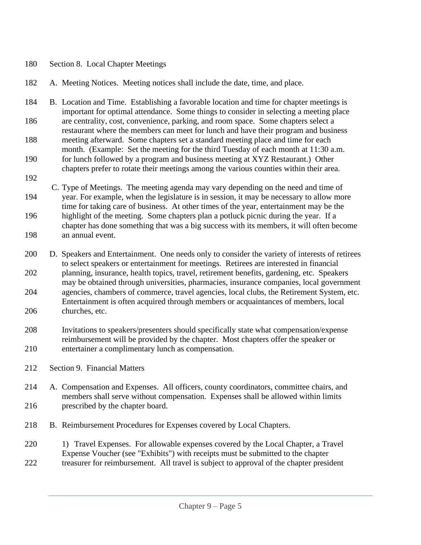## 180 Section 8. Local Chapter Meetings

- 182 A. Meeting Notices. Meeting notices shall include the date, time, and place.
- 184 B. Location and Time. Establishing a favorable location and time for chapter meetings is important for optimal attendance. Some things to consider in selecting a meeting place 186 are centrality, cost, convenience, parking, and room space. Some chapters select a restaurant where the members can meet for lunch and have their program and business 188 meeting afterward. Some chapters set a standard meeting place and time for each month. (Example: Set the meeting for the third Tuesday of each month at 11:30 a.m. 190 for lunch followed by a program and business meeting at XYZ Restaurant.) Other
- chapters prefer to rotate their meetings among the various counties within their area.
- 192
- C. Type of Meetings. The meeting agenda may vary depending on the need and time of 194 year. For example, when the legislature is in session, it may be necessary to allow more time for taking care of business. At other times of the year, entertainment may be the 196 highlight of the meeting. Some chapters plan a potluck picnic during the year. If a chapter has done something that was a big success with its members, it will often become 198 an annual event.
- 200 D. Speakers and Entertainment. One needs only to consider the variety of interests of retirees to select speakers or entertainment for meetings. Retirees are interested in financial 202 planning, insurance, health topics, travel, retirement benefits, gardening, etc. Speakers may be obtained through universities, pharmacies, insurance companies, local government 204 agencies, chambers of commerce, travel agencies, local clubs, the Retirement System, etc. Entertainment is often acquired through members or acquaintances of members, local 206 churches, etc.
- 208 Invitations to speakers/presenters should specifically state what compensation/expense reimbursement will be provided by the chapter. Most chapters offer the speaker or 210 entertainer a complimentary lunch as compensation.
- 212 Section 9. Financial Matters
- 214 A. Compensation and Expenses. All officers, county coordinators, committee chairs, and members shall serve without compensation. Expenses shall be allowed within limits 216 prescribed by the chapter board.
- 218 B. Reimbursement Procedures for Expenses covered by Local Chapters.
- 220 1) Travel Expenses. For allowable expenses covered by the Local Chapter, a Travel Expense Voucher (see "Exhibits") with receipts must be submitted to the chapter 222 treasurer for reimbursement. All travel is subject to approval of the chapter president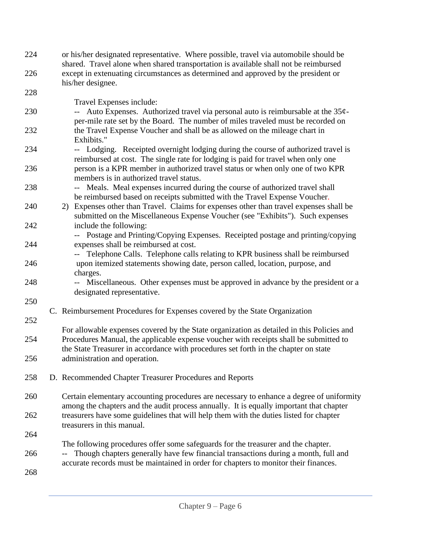| 224        | or his/her designated representative. Where possible, travel via automobile should be<br>shared. Travel alone when shared transportation is available shall not be reimbursed                        |
|------------|------------------------------------------------------------------------------------------------------------------------------------------------------------------------------------------------------|
| 226        | except in extenuating circumstances as determined and approved by the president or                                                                                                                   |
| 228        | his/her designee.                                                                                                                                                                                    |
| 230        | Travel Expenses include:<br>-- Auto Expenses. Authorized travel via personal auto is reimbursable at the $35¢$ -<br>per-mile rate set by the Board. The number of miles traveled must be recorded on |
| 232        | the Travel Expense Voucher and shall be as allowed on the mileage chart in<br>Exhibits."                                                                                                             |
| 234        | -- Lodging. Receipted overnight lodging during the course of authorized travel is<br>reimbursed at cost. The single rate for lodging is paid for travel when only one                                |
| 236        | person is a KPR member in authorized travel status or when only one of two KPR<br>members is in authorized travel status.                                                                            |
| 238        | -- Meals. Meal expenses incurred during the course of authorized travel shall<br>be reimbursed based on receipts submitted with the Travel Expense Voucher.                                          |
| 240        | 2) Expenses other than Travel. Claims for expenses other than travel expenses shall be<br>submitted on the Miscellaneous Expense Voucher (see "Exhibits"). Such expenses                             |
| 242        | include the following:<br>-- Postage and Printing/Copying Expenses. Receipted postage and printing/copying                                                                                           |
| 244        | expenses shall be reimbursed at cost.<br>Telephone Calls. Telephone calls relating to KPR business shall be reimbursed                                                                               |
| 246        | upon itemized statements showing date, person called, location, purpose, and<br>charges.                                                                                                             |
| 248        | -- Miscellaneous. Other expenses must be approved in advance by the president or a<br>designated representative.                                                                                     |
| 250<br>252 | C. Reimbursement Procedures for Expenses covered by the State Organization                                                                                                                           |
| 254        | For allowable expenses covered by the State organization as detailed in this Policies and<br>Procedures Manual, the applicable expense voucher with receipts shall be submitted to                   |
| 256        | the State Treasurer in accordance with procedures set forth in the chapter on state<br>administration and operation.                                                                                 |
| 258        | D. Recommended Chapter Treasurer Procedures and Reports                                                                                                                                              |
| 260        | Certain elementary accounting procedures are necessary to enhance a degree of uniformity<br>among the chapters and the audit process annually. It is equally important that chapter                  |
| 262        | treasurers have some guidelines that will help them with the duties listed for chapter<br>treasurers in this manual.                                                                                 |
| 264        | The following procedures offer some safeguards for the treasurer and the chapter.                                                                                                                    |
| 266        | Though chapters generally have few financial transactions during a month, full and<br>$-\!$ –<br>accurate records must be maintained in order for chapters to monitor their finances.                |
| 268        |                                                                                                                                                                                                      |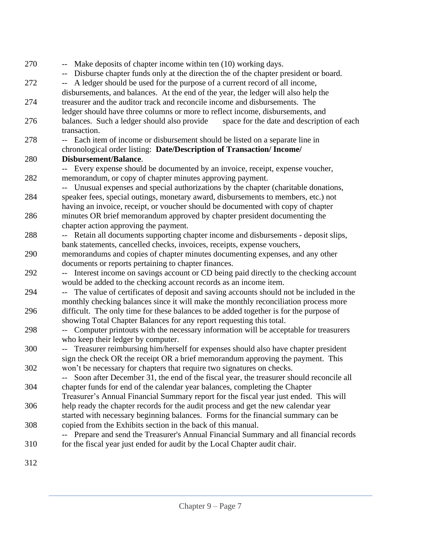| 270 | -- Make deposits of chapter income within ten (10) working days.<br>Disburse chapter funds only at the direction the of the chapter president or board. |
|-----|---------------------------------------------------------------------------------------------------------------------------------------------------------|
| 272 | A ledger should be used for the purpose of a current record of all income,<br>$\overline{\phantom{m}}$                                                  |
|     | disbursements, and balances. At the end of the year, the ledger will also help the                                                                      |
| 274 | treasurer and the auditor track and reconcile income and disbursements. The                                                                             |
|     | ledger should have three columns or more to reflect income, disbursements, and                                                                          |
| 276 | balances. Such a ledger should also provide<br>space for the date and description of each                                                               |
|     | transaction.                                                                                                                                            |
| 278 | -- Each item of income or disbursement should be listed on a separate line in                                                                           |
|     | chronological order listing: Date/Description of Transaction/ Income/                                                                                   |
| 280 | Disbursement/Balance.                                                                                                                                   |
|     | -- Every expense should be documented by an invoice, receipt, expense voucher,                                                                          |
| 282 | memorandum, or copy of chapter minutes approving payment.                                                                                               |
|     | -- Unusual expenses and special authorizations by the chapter (charitable donations,                                                                    |
| 284 | speaker fees, special outings, monetary award, disbursements to members, etc.) not                                                                      |
|     | having an invoice, receipt, or voucher should be documented with copy of chapter                                                                        |
| 286 | minutes OR brief memorandum approved by chapter president documenting the                                                                               |
|     | chapter action approving the payment.                                                                                                                   |
| 288 | -- Retain all documents supporting chapter income and disbursements - deposit slips,                                                                    |
|     | bank statements, cancelled checks, invoices, receipts, expense vouchers,                                                                                |
| 290 | memorandums and copies of chapter minutes documenting expenses, and any other                                                                           |
|     | documents or reports pertaining to chapter finances.                                                                                                    |
| 292 | Interest income on savings account or CD being paid directly to the checking account                                                                    |
|     | would be added to the checking account records as an income item.                                                                                       |
| 294 | The value of certificates of deposit and saving accounts should not be included in the                                                                  |
|     | monthly checking balances since it will make the monthly reconciliation process more                                                                    |
| 296 | difficult. The only time for these balances to be added together is for the purpose of                                                                  |
|     | showing Total Chapter Balances for any report requesting this total.                                                                                    |
| 298 | Computer printouts with the necessary information will be acceptable for treasurers                                                                     |
|     | who keep their ledger by computer.                                                                                                                      |
| 300 | Treasurer reimbursing him/herself for expenses should also have chapter president                                                                       |
|     | sign the check OR the receipt OR a brief memorandum approving the payment. This                                                                         |
| 302 | won't be necessary for chapters that require two signatures on checks.                                                                                  |
|     | Soon after December 31, the end of the fiscal year, the treasurer should reconcile all                                                                  |
| 304 | chapter funds for end of the calendar year balances, completing the Chapter                                                                             |
|     | Treasurer's Annual Financial Summary report for the fiscal year just ended. This will                                                                   |
| 306 | help ready the chapter records for the audit process and get the new calendar year                                                                      |
|     | started with necessary beginning balances. Forms for the financial summary can be                                                                       |
| 308 | copied from the Exhibits section in the back of this manual.                                                                                            |
|     | Prepare and send the Treasurer's Annual Financial Summary and all financial records                                                                     |
| 310 | for the fiscal year just ended for audit by the Local Chapter audit chair.                                                                              |
|     |                                                                                                                                                         |
| 312 |                                                                                                                                                         |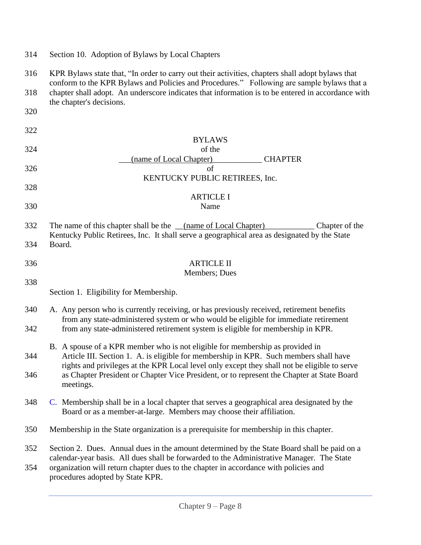|  |  | 314 Section 10. Adoption of Bylaws by Local Chapters |
|--|--|------------------------------------------------------|
|  |  |                                                      |

316 KPR Bylaws state that, "In order to carry out their activities, chapters shall adopt bylaws that conform to the KPR Bylaws and Policies and Procedures." Following are sample bylaws that a 318 chapter shall adopt. An underscore indicates that information is to be entered in accordance with the chapter's decisions. 320

- 322 BYLAWS 324 of the \_\_\_(name of Local Chapter)\_\_\_\_\_\_\_\_\_\_\_\_ CHAPTER  $326$  of KENTUCKY PUBLIC RETIREES, Inc. 328 ARTICLE I 330 Name 332 The name of this chapter shall be the \_\_(name of Local Chapter)\_\_\_\_\_\_\_\_\_\_\_\_ Chapter of the Kentucky Public Retirees, Inc. It shall serve a geographical area as designated by the State 334 Board. 336 ARTICLE II Members; Dues 338 Section 1. Eligibility for Membership. 340 A.Any person who is currently receiving, or has previously received, retirement benefits from any state-administered system or who would be eligible for immediate retirement 342 from any state-administered retirement system is eligible for membership in KPR. B. A spouse of a KPR member who is not eligible for membership as provided in 344 Article III. Section 1. A. is eligible for membership in KPR. Such members shall have rights and privileges at the KPR Local level only except they shall not be eligible to serve 346 as Chapter President or Chapter Vice President, or to represent the Chapter at State Board meetings. 348 C. Membership shall be in a local chapter that serves a geographical area designated by the Board or as a member-at-large. Members may choose their affiliation. 350 Membership in the State organization is a prerequisite for membership in this chapter. 352 Section 2. Dues. Annual dues in the amount determined by the State Board shall be paid on a
- calendar-year basis. All dues shall be forwarded to the Administrative Manager. The State 354 organization will return chapter dues to the chapter in accordance with policies and procedures adopted by State KPR.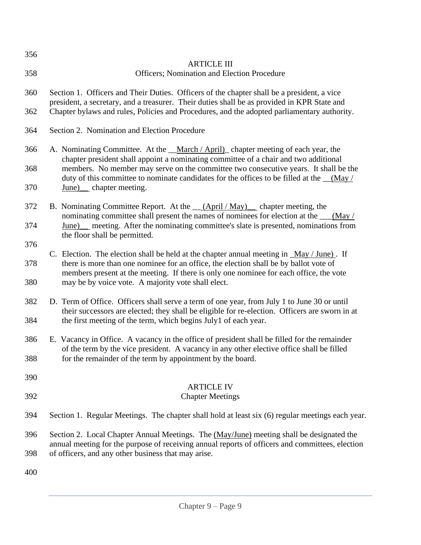| 356        |                                                                                                                                                                                                                                                                  |  |  |  |
|------------|------------------------------------------------------------------------------------------------------------------------------------------------------------------------------------------------------------------------------------------------------------------|--|--|--|
| 358        | <b>ARTICLE III</b><br>Officers; Nomination and Election Procedure                                                                                                                                                                                                |  |  |  |
| 360        | Section 1. Officers and Their Duties. Officers of the chapter shall be a president, a vice<br>president, a secretary, and a treasurer. Their duties shall be as provided in KPR State and                                                                        |  |  |  |
| 362        | Chapter bylaws and rules, Policies and Procedures, and the adopted parliamentary authority.                                                                                                                                                                      |  |  |  |
| 364        | Section 2. Nomination and Election Procedure                                                                                                                                                                                                                     |  |  |  |
| 366        | A. Nominating Committee. At the <i>_March</i> / April) chapter meeting of each year, the<br>chapter president shall appoint a nominating committee of a chair and two additional                                                                                 |  |  |  |
| 368        | members. No member may serve on the committee two consecutive years. It shall be the<br>duty of this committee to nominate candidates for the offices to be filled at the _(May/                                                                                 |  |  |  |
| 370        | <u>June)</u> chapter meeting.                                                                                                                                                                                                                                    |  |  |  |
| 372        | B. Nominating Committee Report. At the <i>(April/May)</i> chapter meeting, the<br>nominating committee shall present the names of nominees for election at the ___(May /                                                                                         |  |  |  |
| 374        | June) meeting. After the nominating committee's slate is presented, nominations from<br>the floor shall be permitted.                                                                                                                                            |  |  |  |
| 376        | C. Election. The election shall be held at the chapter annual meeting in $\text{May } / \text{June}$ . If                                                                                                                                                        |  |  |  |
| 378<br>380 | there is more than one nominee for an office, the election shall be by ballot vote of<br>members present at the meeting. If there is only one nominee for each office, the vote<br>may be by voice vote. A majority vote shall elect.                            |  |  |  |
| 382<br>384 | D. Term of Office. Officers shall serve a term of one year, from July 1 to June 30 or until<br>their successors are elected; they shall be eligible for re-election. Officers are sworn in at<br>the first meeting of the term, which begins July1 of each year. |  |  |  |
| 386        | E. Vacancy in Office. A vacancy in the office of president shall be filled for the remainder                                                                                                                                                                     |  |  |  |
| 388        | of the term by the vice president. A vacancy in any other elective office shall be filled<br>for the remainder of the term by appointment by the board.                                                                                                          |  |  |  |
| 390        |                                                                                                                                                                                                                                                                  |  |  |  |
| 392        | <b>ARTICLE IV</b><br><b>Chapter Meetings</b>                                                                                                                                                                                                                     |  |  |  |
| 394        | Section 1. Regular Meetings. The chapter shall hold at least six (6) regular meetings each year.                                                                                                                                                                 |  |  |  |
| 396        | Section 2. Local Chapter Annual Meetings. The (May/June) meeting shall be designated the<br>annual meeting for the purpose of receiving annual reports of officers and committees, election                                                                      |  |  |  |
| 398        | of officers, and any other business that may arise.                                                                                                                                                                                                              |  |  |  |
| 400        |                                                                                                                                                                                                                                                                  |  |  |  |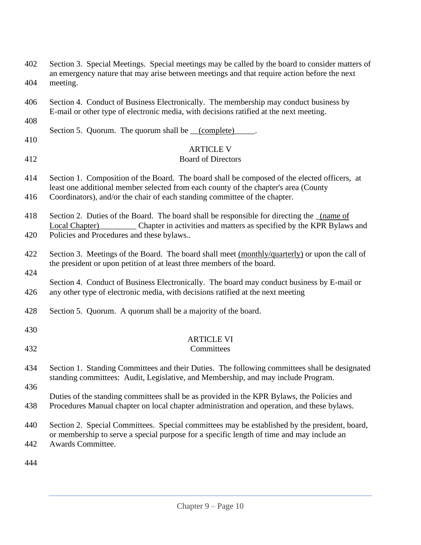| 402<br>404 | Section 3. Special Meetings. Special meetings may be called by the board to consider matters of<br>an emergency nature that may arise between meetings and that require action before the next<br>meeting. |
|------------|------------------------------------------------------------------------------------------------------------------------------------------------------------------------------------------------------------|
| 406        | Section 4. Conduct of Business Electronically. The membership may conduct business by<br>E-mail or other type of electronic media, with decisions ratified at the next meeting.                            |
| 408        | Section 5. Quorum. The quorum shall be __(complete)                                                                                                                                                        |
| 410<br>412 | <b>ARTICLE V</b><br><b>Board of Directors</b>                                                                                                                                                              |
| 414        | Section 1. Composition of the Board. The board shall be composed of the elected officers, at<br>least one additional member selected from each county of the chapter's area (County                        |
| 416        | Coordinators), and/or the chair of each standing committee of the chapter.                                                                                                                                 |
| 418        | Section 2. Duties of the Board. The board shall be responsible for directing the <u>(name of</u><br>Chapter in activities and matters as specified by the KPR Bylaws and<br>Local Chapter)                 |
| 420        | Policies and Procedures and these bylaws                                                                                                                                                                   |
| 422        | Section 3. Meetings of the Board. The board shall meet (monthly/quarterly) or upon the call of<br>the president or upon petition of at least three members of the board.                                   |
| 424<br>426 | Section 4. Conduct of Business Electronically. The board may conduct business by E-mail or<br>any other type of electronic media, with decisions ratified at the next meeting                              |
| 428        | Section 5. Quorum. A quorum shall be a majority of the board.                                                                                                                                              |
| 430        |                                                                                                                                                                                                            |
| 432        | <b>ARTICLE VI</b><br>Committees                                                                                                                                                                            |
| 434        | Section 1. Standing Committees and their Duties. The following committees shall be designated<br>standing committees: Audit, Legislative, and Membership, and may include Program.                         |
| 436        |                                                                                                                                                                                                            |
| 438        | Duties of the standing committees shall be as provided in the KPR Bylaws, the Policies and<br>Procedures Manual chapter on local chapter administration and operation, and these bylaws.                   |
| 440        | Section 2. Special Committees. Special committees may be established by the president, board,<br>or membership to serve a special purpose for a specific length of time and may include an                 |
| 442        | Awards Committee.                                                                                                                                                                                          |
| 444        |                                                                                                                                                                                                            |